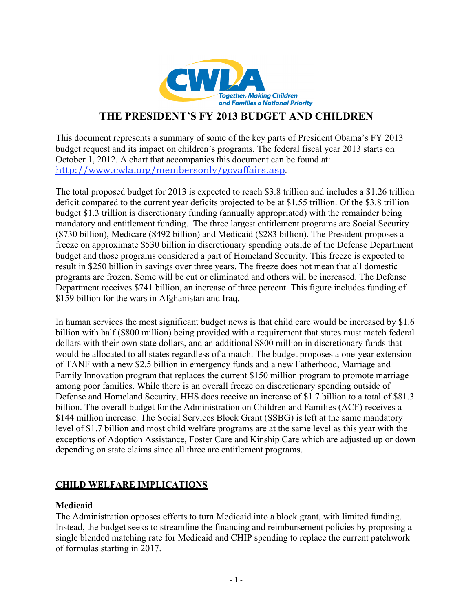

# **THE PRESIDENT'S FY 2013 BUDGET AND CHILDREN**

This document represents a summary of some of the key parts of President Obama's FY 2013 budget request and its impact on children's programs. The federal fiscal year 2013 starts on October 1, 2012. A chart that accompanies this document can be found at: http://www.cwla.org/membersonly/govaffairs.asp.

The total proposed budget for 2013 is expected to reach \$3.8 trillion and includes a \$1.26 trillion deficit compared to the current year deficits projected to be at \$1.55 trillion. Of the \$3.8 trillion budget \$1.3 trillion is discretionary funding (annually appropriated) with the remainder being mandatory and entitlement funding. The three largest entitlement programs are Social Security (\$730 billion), Medicare (\$492 billion) and Medicaid (\$283 billion). The President proposes a freeze on approximate \$530 billion in discretionary spending outside of the Defense Department budget and those programs considered a part of Homeland Security. This freeze is expected to result in \$250 billion in savings over three years. The freeze does not mean that all domestic programs are frozen. Some will be cut or eliminated and others will be increased. The Defense Department receives \$741 billion, an increase of three percent. This figure includes funding of \$159 billion for the wars in Afghanistan and Iraq.

In human services the most significant budget news is that child care would be increased by \$1.6 billion with half (\$800 million) being provided with a requirement that states must match federal dollars with their own state dollars, and an additional \$800 million in discretionary funds that would be allocated to all states regardless of a match. The budget proposes a one-year extension of TANF with a new \$2.5 billion in emergency funds and a new Fatherhood, Marriage and Family Innovation program that replaces the current \$150 million program to promote marriage among poor families. While there is an overall freeze on discretionary spending outside of Defense and Homeland Security, HHS does receive an increase of \$1.7 billion to a total of \$81.3 billion. The overall budget for the Administration on Children and Families (ACF) receives a \$144 million increase. The Social Services Block Grant (SSBG) is left at the same mandatory level of \$1.7 billion and most child welfare programs are at the same level as this year with the exceptions of Adoption Assistance, Foster Care and Kinship Care which are adjusted up or down depending on state claims since all three are entitlement programs.

## **CHILD WELFARE IMPLICATIONS**

#### **Medicaid**

The Administration opposes efforts to turn Medicaid into a block grant, with limited funding. Instead, the budget seeks to streamline the financing and reimbursement policies by proposing a single blended matching rate for Medicaid and CHIP spending to replace the current patchwork of formulas starting in 2017.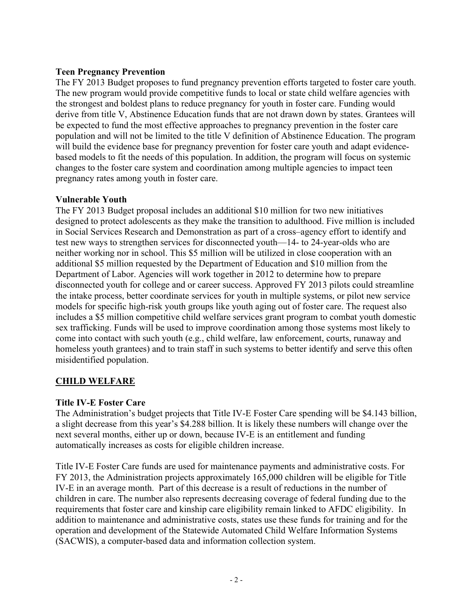### **Teen Pregnancy Prevention**

The FY 2013 Budget proposes to fund pregnancy prevention efforts targeted to foster care youth. The new program would provide competitive funds to local or state child welfare agencies with the strongest and boldest plans to reduce pregnancy for youth in foster care. Funding would derive from title V, Abstinence Education funds that are not drawn down by states. Grantees will be expected to fund the most effective approaches to pregnancy prevention in the foster care population and will not be limited to the title V definition of Abstinence Education. The program will build the evidence base for pregnancy prevention for foster care youth and adapt evidencebased models to fit the needs of this population. In addition, the program will focus on systemic changes to the foster care system and coordination among multiple agencies to impact teen pregnancy rates among youth in foster care.

### **Vulnerable Youth**

The FY 2013 Budget proposal includes an additional \$10 million for two new initiatives designed to protect adolescents as they make the transition to adulthood. Five million is included in Social Services Research and Demonstration as part of a cross–agency effort to identify and test new ways to strengthen services for disconnected youth—14- to 24-year-olds who are neither working nor in school. This \$5 million will be utilized in close cooperation with an additional \$5 million requested by the Department of Education and \$10 million from the Department of Labor. Agencies will work together in 2012 to determine how to prepare disconnected youth for college and or career success. Approved FY 2013 pilots could streamline the intake process, better coordinate services for youth in multiple systems, or pilot new service models for specific high-risk youth groups like youth aging out of foster care. The request also includes a \$5 million competitive child welfare services grant program to combat youth domestic sex trafficking. Funds will be used to improve coordination among those systems most likely to come into contact with such youth (e.g., child welfare, law enforcement, courts, runaway and homeless youth grantees) and to train staff in such systems to better identify and serve this often misidentified population.

## **CHILD WELFARE**

## **Title IV-E Foster Care**

The Administration's budget projects that Title IV-E Foster Care spending will be \$4.143 billion, a slight decrease from this year's \$4.288 billion. It is likely these numbers will change over the next several months, either up or down, because IV-E is an entitlement and funding automatically increases as costs for eligible children increase.

Title IV-E Foster Care funds are used for maintenance payments and administrative costs. For FY 2013, the Administration projects approximately 165,000 children will be eligible for Title IV-E in an average month. Part of this decrease is a result of reductions in the number of children in care. The number also represents decreasing coverage of federal funding due to the requirements that foster care and kinship care eligibility remain linked to AFDC eligibility. In addition to maintenance and administrative costs, states use these funds for training and for the operation and development of the Statewide Automated Child Welfare Information Systems (SACWIS), a computer-based data and information collection system.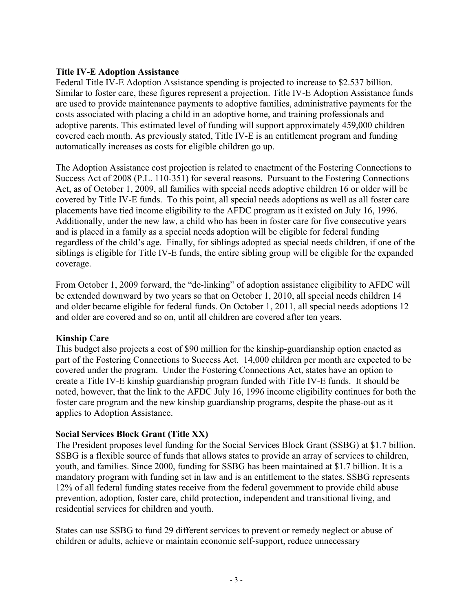### **Title IV-E Adoption Assistance**

Federal Title IV-E Adoption Assistance spending is projected to increase to \$2.537 billion. Similar to foster care, these figures represent a projection. Title IV-E Adoption Assistance funds are used to provide maintenance payments to adoptive families, administrative payments for the costs associated with placing a child in an adoptive home, and training professionals and adoptive parents. This estimated level of funding will support approximately 459,000 children covered each month. As previously stated, Title IV-E is an entitlement program and funding automatically increases as costs for eligible children go up.

The Adoption Assistance cost projection is related to enactment of the Fostering Connections to Success Act of 2008 (P.L. 110-351) for several reasons. Pursuant to the Fostering Connections Act, as of October 1, 2009, all families with special needs adoptive children 16 or older will be covered by Title IV-E funds. To this point, all special needs adoptions as well as all foster care placements have tied income eligibility to the AFDC program as it existed on July 16, 1996. Additionally, under the new law, a child who has been in foster care for five consecutive years and is placed in a family as a special needs adoption will be eligible for federal funding regardless of the child's age. Finally, for siblings adopted as special needs children, if one of the siblings is eligible for Title IV-E funds, the entire sibling group will be eligible for the expanded coverage.

From October 1, 2009 forward, the "de-linking" of adoption assistance eligibility to AFDC will be extended downward by two years so that on October 1, 2010, all special needs children 14 and older became eligible for federal funds. On October 1, 2011, all special needs adoptions 12 and older are covered and so on, until all children are covered after ten years.

## **Kinship Care**

This budget also projects a cost of \$90 million for the kinship-guardianship option enacted as part of the Fostering Connections to Success Act. 14,000 children per month are expected to be covered under the program. Under the Fostering Connections Act, states have an option to create a Title IV-E kinship guardianship program funded with Title IV-E funds. It should be noted, however, that the link to the AFDC July 16, 1996 income eligibility continues for both the foster care program and the new kinship guardianship programs, despite the phase-out as it applies to Adoption Assistance.

## **Social Services Block Grant (Title XX)**

The President proposes level funding for the Social Services Block Grant (SSBG) at \$1.7 billion. SSBG is a flexible source of funds that allows states to provide an array of services to children, youth, and families. Since 2000, funding for SSBG has been maintained at \$1.7 billion. It is a mandatory program with funding set in law and is an entitlement to the states. SSBG represents 12% of all federal funding states receive from the federal government to provide child abuse prevention, adoption, foster care, child protection, independent and transitional living, and residential services for children and youth.

States can use SSBG to fund 29 different services to prevent or remedy neglect or abuse of children or adults, achieve or maintain economic self-support, reduce unnecessary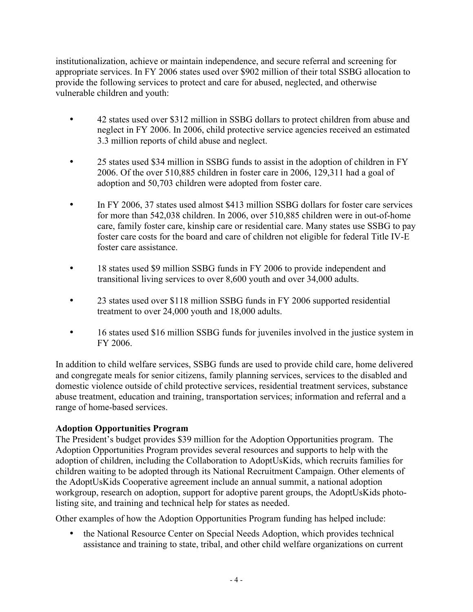institutionalization, achieve or maintain independence, and secure referral and screening for appropriate services. In FY 2006 states used over \$902 million of their total SSBG allocation to provide the following services to protect and care for abused, neglected, and otherwise vulnerable children and youth:

- 42 states used over \$312 million in SSBG dollars to protect children from abuse and neglect in FY 2006. In 2006, child protective service agencies received an estimated 3.3 million reports of child abuse and neglect.
- 25 states used \$34 million in SSBG funds to assist in the adoption of children in FY 2006. Of the over 510,885 children in foster care in 2006, 129,311 had a goal of adoption and 50,703 children were adopted from foster care.
- In FY 2006, 37 states used almost \$413 million SSBG dollars for foster care services for more than 542,038 children. In 2006, over 510,885 children were in out-of-home care, family foster care, kinship care or residential care. Many states use SSBG to pay foster care costs for the board and care of children not eligible for federal Title IV-E foster care assistance.
- 18 states used \$9 million SSBG funds in FY 2006 to provide independent and transitional living services to over 8,600 youth and over 34,000 adults.
- 23 states used over \$118 million SSBG funds in FY 2006 supported residential treatment to over 24,000 youth and 18,000 adults.
- 16 states used \$16 million SSBG funds for juveniles involved in the justice system in FY 2006.

In addition to child welfare services, SSBG funds are used to provide child care, home delivered and congregate meals for senior citizens, family planning services, services to the disabled and domestic violence outside of child protective services, residential treatment services, substance abuse treatment, education and training, transportation services; information and referral and a range of home-based services.

## **Adoption Opportunities Program**

The President's budget provides \$39 million for the Adoption Opportunities program. The Adoption Opportunities Program provides several resources and supports to help with the adoption of children, including the Collaboration to AdoptUsKids, which recruits families for children waiting to be adopted through its National Recruitment Campaign. Other elements of the AdoptUsKids Cooperative agreement include an annual summit, a national adoption workgroup, research on adoption, support for adoptive parent groups, the AdoptUsKids photolisting site, and training and technical help for states as needed.

Other examples of how the Adoption Opportunities Program funding has helped include:

• the National Resource Center on Special Needs Adoption, which provides technical assistance and training to state, tribal, and other child welfare organizations on current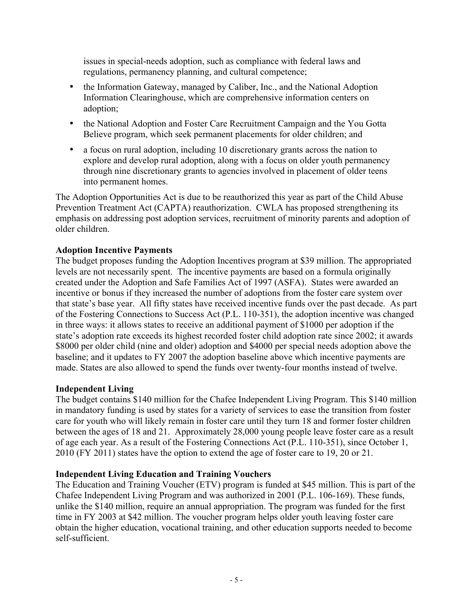issues in special-needs adoption, such as compliance with federal laws and regulations, permanency planning, and cultural competence;

- the Information Gateway, managed by Caliber, Inc., and the National Adoption Information Clearinghouse, which are comprehensive information centers on adoption;
- the National Adoption and Foster Care Recruitment Campaign and the You Gotta Believe program, which seek permanent placements for older children; and
- a focus on rural adoption, including 10 discretionary grants across the nation to explore and develop rural adoption, along with a focus on older youth permanency through nine discretionary grants to agencies involved in placement of older teens into permanent homes.

The Adoption Opportunities Act is due to be reauthorized this year as part of the Child Abuse Prevention Treatment Act (CAPTA) reauthorization. CWLA has proposed strengthening its emphasis on addressing post adoption services, recruitment of minority parents and adoption of older children.

## **Adoption Incentive Payments**

The budget proposes funding the Adoption Incentives program at \$39 million. The appropriated levels are not necessarily spent. The incentive payments are based on a formula originally created under the Adoption and Safe Families Act of 1997 (ASFA). States were awarded an incentive or bonus if they increased the number of adoptions from the foster care system over that state's base year. All fifty states have received incentive funds over the past decade. As part of the Fostering Connections to Success Act (P.L. 110-351), the adoption incentive was changed in three ways: it allows states to receive an additional payment of \$1000 per adoption if the state's adoption rate exceeds its highest recorded foster child adoption rate since 2002; it awards \$8000 per older child (nine and older) adoption and \$4000 per special needs adoption above the baseline; and it updates to FY 2007 the adoption baseline above which incentive payments are made. States are also allowed to spend the funds over twenty-four months instead of twelve.

## **Independent Living**

The budget contains \$140 million for the Chafee Independent Living Program. This \$140 million in mandatory funding is used by states for a variety of services to ease the transition from foster care for youth who will likely remain in foster care until they turn 18 and former foster children between the ages of 18 and 21. Approximately 28,000 young people leave foster care as a result of age each year. As a result of the Fostering Connections Act (P.L. 110-351), since October 1, 2010 (FY 2011) states have the option to extend the age of foster care to 19, 20 or 21.

## **Independent Living Education and Training Vouchers**

The Education and Training Voucher (ETV) program is funded at \$45 million. This is part of the Chafee Independent Living Program and was authorized in 2001 (P.L. 106-169). These funds, unlike the \$140 million, require an annual appropriation. The program was funded for the first time in FY 2003 at \$42 million. The voucher program helps older youth leaving foster care obtain the higher education, vocational training, and other education supports needed to become self-sufficient.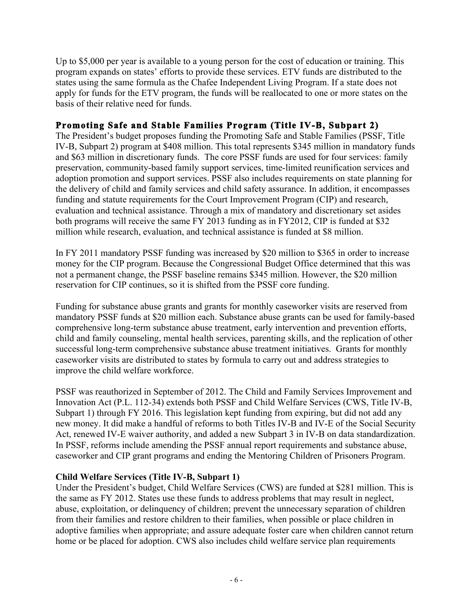Up to \$5,000 per year is available to a young person for the cost of education or training. This program expands on states' efforts to provide these services. ETV funds are distributed to the states using the same formula as the Chafee Independent Living Program. If a state does not apply for funds for the ETV program, the funds will be reallocated to one or more states on the basis of their relative need for funds.

## **Promoting Safe and Stable Families Program (Title IV-B, Subpart 2)**

The President's budget proposes funding the Promoting Safe and Stable Families (PSSF, Title IV-B, Subpart 2) program at \$408 million. This total represents \$345 million in mandatory funds and \$63 million in discretionary funds. The core PSSF funds are used for four services: family preservation, community-based family support services, time-limited reunification services and adoption promotion and support services. PSSF also includes requirements on state planning for the delivery of child and family services and child safety assurance. In addition, it encompasses funding and statute requirements for the Court Improvement Program (CIP) and research, evaluation and technical assistance. Through a mix of mandatory and discretionary set asides both programs will receive the same FY 2013 funding as in FY2012, CIP is funded at \$32 million while research, evaluation, and technical assistance is funded at \$8 million.

In FY 2011 mandatory PSSF funding was increased by \$20 million to \$365 in order to increase money for the CIP program. Because the Congressional Budget Office determined that this was not a permanent change, the PSSF baseline remains \$345 million. However, the \$20 million reservation for CIP continues, so it is shifted from the PSSF core funding.

Funding for substance abuse grants and grants for monthly caseworker visits are reserved from mandatory PSSF funds at \$20 million each. Substance abuse grants can be used for family-based comprehensive long-term substance abuse treatment, early intervention and prevention efforts, child and family counseling, mental health services, parenting skills, and the replication of other successful long-term comprehensive substance abuse treatment initiatives. Grants for monthly caseworker visits are distributed to states by formula to carry out and address strategies to improve the child welfare workforce.

PSSF was reauthorized in September of 2012. The Child and Family Services Improvement and Innovation Act (P.L. 112-34) extends both PSSF and Child Welfare Services (CWS, Title IV-B, Subpart 1) through FY 2016. This legislation kept funding from expiring, but did not add any new money. It did make a handful of reforms to both Titles IV-B and IV-E of the Social Security Act, renewed IV-E waiver authority, and added a new Subpart 3 in IV-B on data standardization. In PSSF, reforms include amending the PSSF annual report requirements and substance abuse, caseworker and CIP grant programs and ending the Mentoring Children of Prisoners Program.

## **Child Welfare Services (Title IV-B, Subpart 1)**

Under the President's budget, Child Welfare Services (CWS) are funded at \$281 million. This is the same as FY 2012. States use these funds to address problems that may result in neglect, abuse, exploitation, or delinquency of children; prevent the unnecessary separation of children from their families and restore children to their families, when possible or place children in adoptive families when appropriate; and assure adequate foster care when children cannot return home or be placed for adoption. CWS also includes child welfare service plan requirements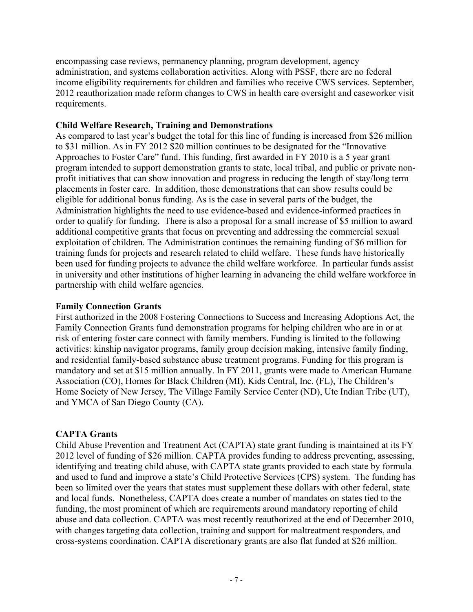encompassing case reviews, permanency planning, program development, agency administration, and systems collaboration activities. Along with PSSF, there are no federal income eligibility requirements for children and families who receive CWS services. September, 2012 reauthorization made reform changes to CWS in health care oversight and caseworker visit requirements.

#### **Child Welfare Research, Training and Demonstrations**

As compared to last year's budget the total for this line of funding is increased from \$26 million to \$31 million. As in FY 2012 \$20 million continues to be designated for the "Innovative Approaches to Foster Care" fund. This funding, first awarded in FY 2010 is a 5 year grant program intended to support demonstration grants to state, local tribal, and public or private nonprofit initiatives that can show innovation and progress in reducing the length of stay/long term placements in foster care. In addition, those demonstrations that can show results could be eligible for additional bonus funding. As is the case in several parts of the budget, the Administration highlights the need to use evidence-based and evidence-informed practices in order to qualify for funding. There is also a proposal for a small increase of \$5 million to award additional competitive grants that focus on preventing and addressing the commercial sexual exploitation of children. The Administration continues the remaining funding of \$6 million for training funds for projects and research related to child welfare. These funds have historically been used for funding projects to advance the child welfare workforce. In particular funds assist in university and other institutions of higher learning in advancing the child welfare workforce in partnership with child welfare agencies.

#### **Family Connection Grants**

First authorized in the 2008 Fostering Connections to Success and Increasing Adoptions Act, the Family Connection Grants fund demonstration programs for helping children who are in or at risk of entering foster care connect with family members. Funding is limited to the following activities: kinship navigator programs, family group decision making, intensive family finding, and residential family-based substance abuse treatment programs. Funding for this program is mandatory and set at \$15 million annually. In FY 2011, grants were made to American Humane Association (CO), Homes for Black Children (MI), Kids Central, Inc. (FL), The Children's Home Society of New Jersey, The Village Family Service Center (ND), Ute Indian Tribe (UT), and YMCA of San Diego County (CA).

#### **CAPTA Grants**

Child Abuse Prevention and Treatment Act (CAPTA) state grant funding is maintained at its FY 2012 level of funding of \$26 million. CAPTA provides funding to address preventing, assessing, identifying and treating child abuse, with CAPTA state grants provided to each state by formula and used to fund and improve a state's Child Protective Services (CPS) system. The funding has been so limited over the years that states must supplement these dollars with other federal, state and local funds. Nonetheless, CAPTA does create a number of mandates on states tied to the funding, the most prominent of which are requirements around mandatory reporting of child abuse and data collection. CAPTA was most recently reauthorized at the end of December 2010, with changes targeting data collection, training and support for maltreatment responders, and cross-systems coordination. CAPTA discretionary grants are also flat funded at \$26 million.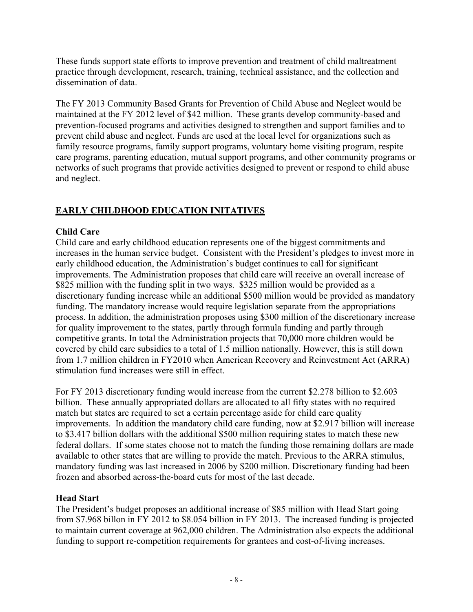These funds support state efforts to improve prevention and treatment of child maltreatment practice through development, research, training, technical assistance, and the collection and dissemination of data.

The FY 2013 Community Based Grants for Prevention of Child Abuse and Neglect would be maintained at the FY 2012 level of \$42 million. These grants develop community-based and prevention-focused programs and activities designed to strengthen and support families and to prevent child abuse and neglect. Funds are used at the local level for organizations such as family resource programs, family support programs, voluntary home visiting program, respite care programs, parenting education, mutual support programs, and other community programs or networks of such programs that provide activities designed to prevent or respond to child abuse and neglect.

# **EARLY CHILDHOOD EDUCATION INITATIVES**

# **Child Care**

Child care and early childhood education represents one of the biggest commitments and increases in the human service budget. Consistent with the President's pledges to invest more in early childhood education, the Administration's budget continues to call for significant improvements. The Administration proposes that child care will receive an overall increase of \$825 million with the funding split in two ways. \$325 million would be provided as a discretionary funding increase while an additional \$500 million would be provided as mandatory funding. The mandatory increase would require legislation separate from the appropriations process. In addition, the administration proposes using \$300 million of the discretionary increase for quality improvement to the states, partly through formula funding and partly through competitive grants. In total the Administration projects that 70,000 more children would be covered by child care subsidies to a total of 1.5 million nationally. However, this is still down from 1.7 million children in FY2010 when American Recovery and Reinvestment Act (ARRA) stimulation fund increases were still in effect.

For FY 2013 discretionary funding would increase from the current \$2.278 billion to \$2.603 billion. These annually appropriated dollars are allocated to all fifty states with no required match but states are required to set a certain percentage aside for child care quality improvements. In addition the mandatory child care funding, now at \$2.917 billion will increase to \$3.417 billion dollars with the additional \$500 million requiring states to match these new federal dollars. If some states choose not to match the funding those remaining dollars are made available to other states that are willing to provide the match. Previous to the ARRA stimulus, mandatory funding was last increased in 2006 by \$200 million. Discretionary funding had been frozen and absorbed across-the-board cuts for most of the last decade.

## **Head Start**

The President's budget proposes an additional increase of \$85 million with Head Start going from \$7.968 billon in FY 2012 to \$8.054 billion in FY 2013. The increased funding is projected to maintain current coverage at 962,000 children. The Administration also expects the additional funding to support re-competition requirements for grantees and cost-of-living increases.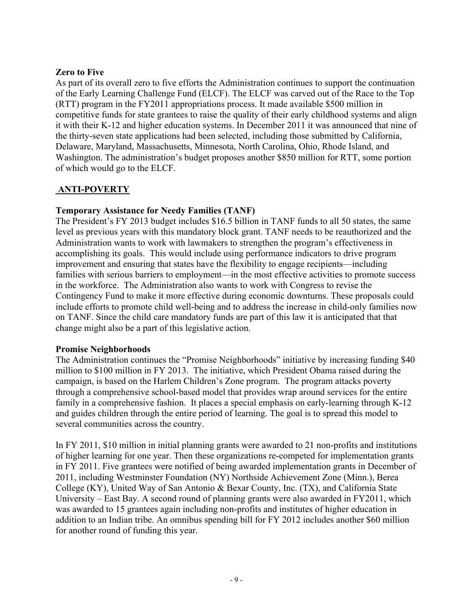## **Zero to Five**

As part of its overall zero to five efforts the Administration continues to support the continuation of the Early Learning Challenge Fund (ELCF). The ELCF was carved out of the Race to the Top (RTT) program in the FY2011 appropriations process. It made available \$500 million in competitive funds for state grantees to raise the quality of their early childhood systems and align it with their K-12 and higher education systems. In December 2011 it was announced that nine of the thirty-seven state applications had been selected, including those submitted by California, Delaware, Maryland, Massachusetts, Minnesota, North Carolina, Ohio, Rhode Island, and Washington. The administration's budget proposes another \$850 million for RTT, some portion of which would go to the ELCF.

## **ANTI-POVERTY**

## **Temporary Assistance for Needy Families (TANF)**

The President's FY 2013 budget includes \$16.5 billion in TANF funds to all 50 states, the same level as previous years with this mandatory block grant. TANF needs to be reauthorized and the Administration wants to work with lawmakers to strengthen the program's effectiveness in accomplishing its goals. This would include using performance indicators to drive program improvement and ensuring that states have the flexibility to engage recipients—including families with serious barriers to employment—in the most effective activities to promote success in the workforce. The Administration also wants to work with Congress to revise the Contingency Fund to make it more effective during economic downturns. These proposals could include efforts to promote child well-being and to address the increase in child-only families now on TANF. Since the child care mandatory funds are part of this law it is anticipated that that change might also be a part of this legislative action.

## **Promise Neighborhoods**

The Administration continues the "Promise Neighborhoods" initiative by increasing funding \$40 million to \$100 million in FY 2013. The initiative, which President Obama raised during the campaign, is based on the Harlem Children's Zone program. The program attacks poverty through a comprehensive school-based model that provides wrap around services for the entire family in a comprehensive fashion. It places a special emphasis on early-learning through K-12 and guides children through the entire period of learning. The goal is to spread this model to several communities across the country.

In FY 2011, \$10 million in initial planning grants were awarded to 21 non-profits and institutions of higher learning for one year. Then these organizations re-competed for implementation grants in FY 2011. Five grantees were notified of being awarded implementation grants in December of 2011, including Westminster Foundation (NY) Northside Achievement Zone (Minn.), Berea College (KY), United Way of San Antonio & Bexar County, Inc. (TX), and California State University – East Bay. A second round of planning grants were also awarded in FY2011, which was awarded to 15 grantees again including non-profits and institutes of higher education in addition to an Indian tribe. An omnibus spending bill for FY 2012 includes another \$60 million for another round of funding this year.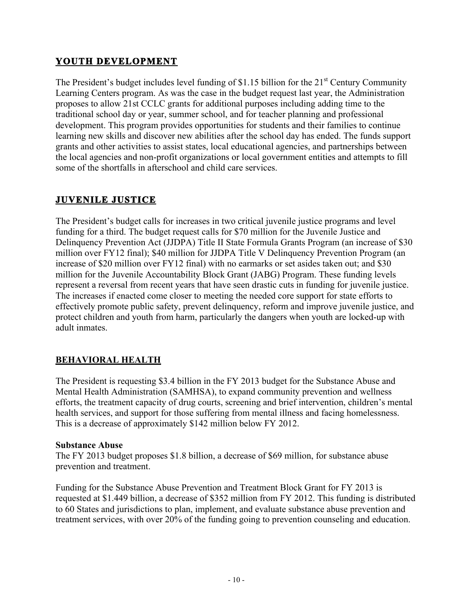# **YOUTH DEVELOPMENT**

The President's budget includes level funding of \$1.15 billion for the  $21<sup>st</sup>$  Century Community Learning Centers program. As was the case in the budget request last year, the Administration proposes to allow 21st CCLC grants for additional purposes including adding time to the traditional school day or year, summer school, and for teacher planning and professional development. This program provides opportunities for students and their families to continue learning new skills and discover new abilities after the school day has ended. The funds support grants and other activities to assist states, local educational agencies, and partnerships between the local agencies and non-profit organizations or local government entities and attempts to fill some of the shortfalls in afterschool and child care services.

# **JUVENILE JUSTICE**

The President's budget calls for increases in two critical juvenile justice programs and level funding for a third. The budget request calls for \$70 million for the Juvenile Justice and Delinquency Prevention Act (JJDPA) Title II State Formula Grants Program (an increase of \$30 million over FY12 final); \$40 million for JJDPA Title V Delinquency Prevention Program (an increase of \$20 million over FY12 final) with no earmarks or set asides taken out; and \$30 million for the Juvenile Accountability Block Grant (JABG) Program. These funding levels represent a reversal from recent years that have seen drastic cuts in funding for juvenile justice. The increases if enacted come closer to meeting the needed core support for state efforts to effectively promote public safety, prevent delinquency, reform and improve juvenile justice, and protect children and youth from harm, particularly the dangers when youth are locked-up with adult inmates.

## **BEHAVIORAL HEALTH**

The President is requesting \$3.4 billion in the FY 2013 budget for the Substance Abuse and Mental Health Administration (SAMHSA), to expand community prevention and wellness efforts, the treatment capacity of drug courts, screening and brief intervention, children's mental health services, and support for those suffering from mental illness and facing homelessness. This is a decrease of approximately \$142 million below FY 2012.

## **Substance Abuse**

The FY 2013 budget proposes \$1.8 billion, a decrease of \$69 million, for substance abuse prevention and treatment.

Funding for the Substance Abuse Prevention and Treatment Block Grant for FY 2013 is requested at \$1.449 billion, a decrease of \$352 million from FY 2012. This funding is distributed to 60 States and jurisdictions to plan, implement, and evaluate substance abuse prevention and treatment services, with over 20% of the funding going to prevention counseling and education.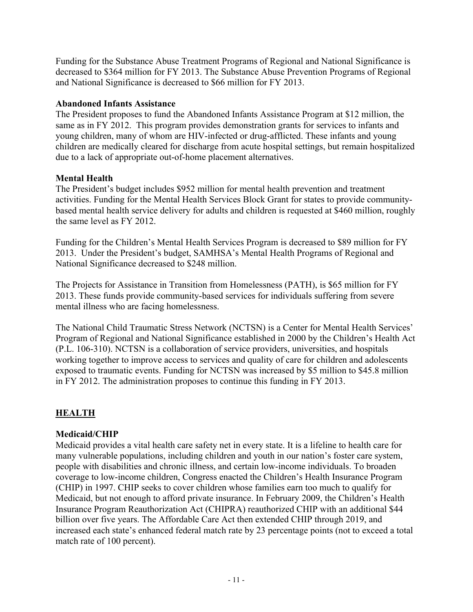Funding for the Substance Abuse Treatment Programs of Regional and National Significance is decreased to \$364 million for FY 2013. The Substance Abuse Prevention Programs of Regional and National Significance is decreased to \$66 million for FY 2013.

### **Abandoned Infants Assistance**

The President proposes to fund the Abandoned Infants Assistance Program at \$12 million, the same as in FY 2012. This program provides demonstration grants for services to infants and young children, many of whom are HIV-infected or drug-afflicted. These infants and young children are medically cleared for discharge from acute hospital settings, but remain hospitalized due to a lack of appropriate out-of-home placement alternatives.

## **Mental Health**

The President's budget includes \$952 million for mental health prevention and treatment activities. Funding for the Mental Health Services Block Grant for states to provide communitybased mental health service delivery for adults and children is requested at \$460 million, roughly the same level as FY 2012.

Funding for the Children's Mental Health Services Program is decreased to \$89 million for FY 2013. Under the President's budget, SAMHSA's Mental Health Programs of Regional and National Significance decreased to \$248 million.

The Projects for Assistance in Transition from Homelessness (PATH), is \$65 million for FY 2013. These funds provide community-based services for individuals suffering from severe mental illness who are facing homelessness.

The National Child Traumatic Stress Network (NCTSN) is a Center for Mental Health Services' Program of Regional and National Significance established in 2000 by the Children's Health Act (P.L. 106-310). NCTSN is a collaboration of service providers, universities, and hospitals working together to improve access to services and quality of care for children and adolescents exposed to traumatic events. Funding for NCTSN was increased by \$5 million to \$45.8 million in FY 2012. The administration proposes to continue this funding in FY 2013.

## **HEALTH**

## **Medicaid/CHIP**

Medicaid provides a vital health care safety net in every state. It is a lifeline to health care for many vulnerable populations, including children and youth in our nation's foster care system, people with disabilities and chronic illness, and certain low-income individuals. To broaden coverage to low-income children, Congress enacted the Children's Health Insurance Program (CHIP) in 1997. CHIP seeks to cover children whose families earn too much to qualify for Medicaid, but not enough to afford private insurance. In February 2009, the Children's Health Insurance Program Reauthorization Act (CHIPRA) reauthorized CHIP with an additional \$44 billion over five years. The Affordable Care Act then extended CHIP through 2019, and increased each state's enhanced federal match rate by 23 percentage points (not to exceed a total match rate of 100 percent).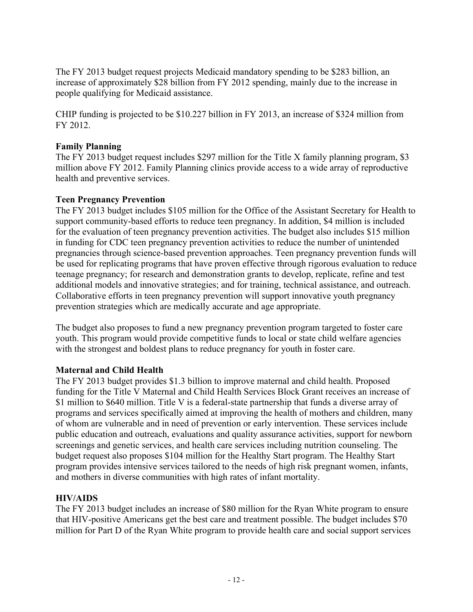The FY 2013 budget request projects Medicaid mandatory spending to be \$283 billion, an increase of approximately \$28 billion from FY 2012 spending, mainly due to the increase in people qualifying for Medicaid assistance.

CHIP funding is projected to be \$10.227 billion in FY 2013, an increase of \$324 million from FY 2012.

## **Family Planning**

The FY 2013 budget request includes \$297 million for the Title X family planning program, \$3 million above FY 2012. Family Planning clinics provide access to a wide array of reproductive health and preventive services.

## **Teen Pregnancy Prevention**

The FY 2013 budget includes \$105 million for the Office of the Assistant Secretary for Health to support community-based efforts to reduce teen pregnancy. In addition, \$4 million is included for the evaluation of teen pregnancy prevention activities. The budget also includes \$15 million in funding for CDC teen pregnancy prevention activities to reduce the number of unintended pregnancies through science-based prevention approaches. Teen pregnancy prevention funds will be used for replicating programs that have proven effective through rigorous evaluation to reduce teenage pregnancy; for research and demonstration grants to develop, replicate, refine and test additional models and innovative strategies; and for training, technical assistance, and outreach. Collaborative efforts in teen pregnancy prevention will support innovative youth pregnancy prevention strategies which are medically accurate and age appropriate.

The budget also proposes to fund a new pregnancy prevention program targeted to foster care youth. This program would provide competitive funds to local or state child welfare agencies with the strongest and boldest plans to reduce pregnancy for youth in foster care.

## **Maternal and Child Health**

The FY 2013 budget provides \$1.3 billion to improve maternal and child health. Proposed funding for the Title V Maternal and Child Health Services Block Grant receives an increase of \$1 million to \$640 million. Title V is a federal-state partnership that funds a diverse array of programs and services specifically aimed at improving the health of mothers and children, many of whom are vulnerable and in need of prevention or early intervention. These services include public education and outreach, evaluations and quality assurance activities, support for newborn screenings and genetic services, and health care services including nutrition counseling. The budget request also proposes \$104 million for the Healthy Start program. The Healthy Start program provides intensive services tailored to the needs of high risk pregnant women, infants, and mothers in diverse communities with high rates of infant mortality.

## **HIV/AIDS**

The FY 2013 budget includes an increase of \$80 million for the Ryan White program to ensure that HIV-positive Americans get the best care and treatment possible. The budget includes \$70 million for Part D of the Ryan White program to provide health care and social support services